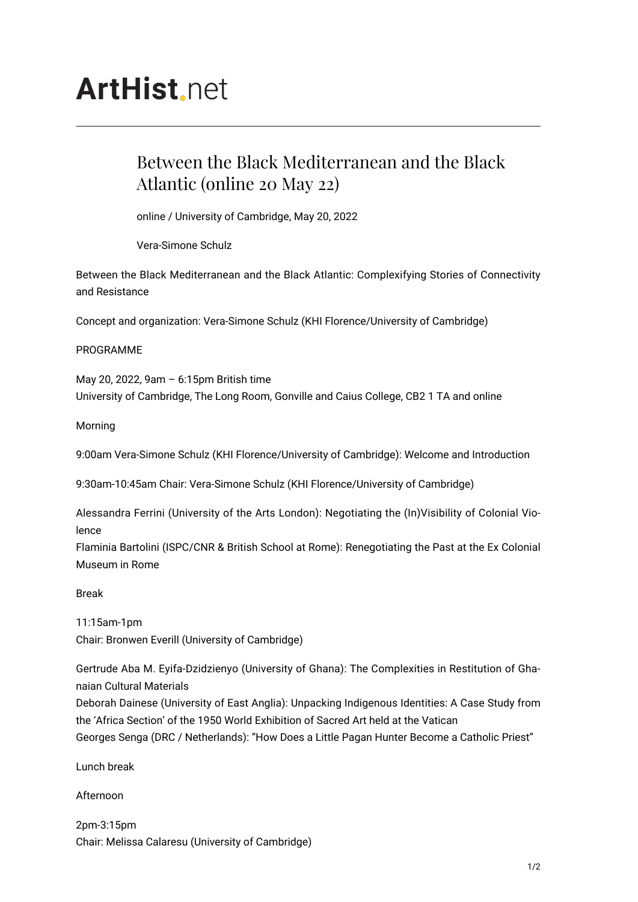# **ArtHist**, net

## Between the Black Mediterranean and the Black Atlantic (online 20 May 22)

online / University of Cambridge, May 20, 2022

Vera-Simone Schulz

Between the Black Mediterranean and the Black Atlantic: Complexifying Stories of Connectivity and Resistance

Concept and organization: Vera-Simone Schulz (KHI Florence/University of Cambridge)

### PROGRAMME

May 20, 2022, 9am – 6:15pm British time University of Cambridge, The Long Room, Gonville and Caius College, CB2 1 TA and online

### Morning

9:00am Vera-Simone Schulz (KHI Florence/University of Cambridge): Welcome and Introduction

9:30am-10:45am Chair: Vera-Simone Schulz (KHI Florence/University of Cambridge)

Alessandra Ferrini (University of the Arts London): Negotiating the (In)Visibility of Colonial Violence

Flaminia Bartolini (ISPC/CNR & British School at Rome): Renegotiating the Past at the Ex Colonial Museum in Rome

Break

11:15am-1pm Chair: Bronwen Everill (University of Cambridge)

Gertrude Aba M. Eyifa-Dzidzienyo (University of Ghana): The Complexities in Restitution of Ghanaian Cultural Materials

Deborah Dainese (University of East Anglia): Unpacking Indigenous Identities: A Case Study from the 'Africa Section' of the 1950 World Exhibition of Sacred Art held at the Vatican Georges Senga (DRC / Netherlands): "How Does a Little Pagan Hunter Become a Catholic Priest"

Lunch break

Afternoon

2pm-3:15pm Chair: Melissa Calaresu (University of Cambridge)